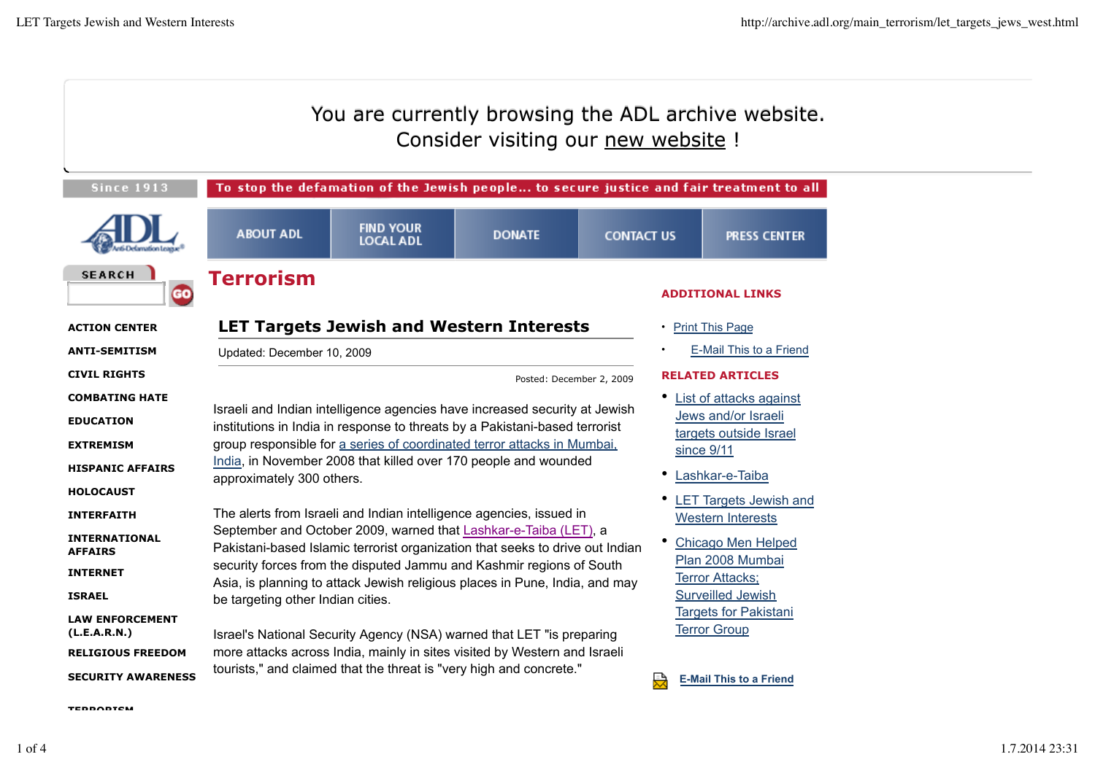|                                                                                                                                                                       | You are currently browsing the ADL archive website.<br>Consider visiting our new website !                                                                                                                                                                                                                                                                                                                                                                                                                                                                                 |                                      |               |                   |                                                                                                                                                                                                               |                                                                                                             |  |  |
|-----------------------------------------------------------------------------------------------------------------------------------------------------------------------|----------------------------------------------------------------------------------------------------------------------------------------------------------------------------------------------------------------------------------------------------------------------------------------------------------------------------------------------------------------------------------------------------------------------------------------------------------------------------------------------------------------------------------------------------------------------------|--------------------------------------|---------------|-------------------|---------------------------------------------------------------------------------------------------------------------------------------------------------------------------------------------------------------|-------------------------------------------------------------------------------------------------------------|--|--|
| <b>Since 1913</b>                                                                                                                                                     | To stop the defamation of the Jewish people to secure justice and fair treatment to all                                                                                                                                                                                                                                                                                                                                                                                                                                                                                    |                                      |               |                   |                                                                                                                                                                                                               |                                                                                                             |  |  |
|                                                                                                                                                                       | <b>ABOUT ADL</b>                                                                                                                                                                                                                                                                                                                                                                                                                                                                                                                                                           | <b>FIND YOUR</b><br><b>LOCAL ADL</b> | <b>DONATE</b> | <b>CONTACT US</b> |                                                                                                                                                                                                               | <b>PRESS CENTER</b>                                                                                         |  |  |
| <b>SEARCH</b><br>GO                                                                                                                                                   | <b>Terrorism</b>                                                                                                                                                                                                                                                                                                                                                                                                                                                                                                                                                           |                                      |               |                   | <b>ADDITIONAL LINKS</b>                                                                                                                                                                                       |                                                                                                             |  |  |
| <b>ACTION CENTER</b>                                                                                                                                                  | <b>LET Targets Jewish and Western Interests</b>                                                                                                                                                                                                                                                                                                                                                                                                                                                                                                                            |                                      |               |                   |                                                                                                                                                                                                               | • Print This Page                                                                                           |  |  |
| <b>ANTI-SEMITISM</b>                                                                                                                                                  | Updated: December 10, 2009                                                                                                                                                                                                                                                                                                                                                                                                                                                                                                                                                 |                                      |               |                   | E-Mail This to a Friend                                                                                                                                                                                       |                                                                                                             |  |  |
| <b>CIVIL RIGHTS</b>                                                                                                                                                   | Posted: December 2, 2009                                                                                                                                                                                                                                                                                                                                                                                                                                                                                                                                                   |                                      |               |                   | <b>RELATED ARTICLES</b>                                                                                                                                                                                       |                                                                                                             |  |  |
| <b>COMBATING HATE</b><br><b>EDUCATION</b><br><b>EXTREMISM</b><br><b>HISPANIC AFFAIRS</b><br><b>HOLOCAUST</b>                                                          | Israeli and Indian intelligence agencies have increased security at Jewish<br>institutions in India in response to threats by a Pakistani-based terrorist<br>group responsible for a series of coordinated terror attacks in Mumbai.<br>India, in November 2008 that killed over 170 people and wounded<br>approximately 300 others.                                                                                                                                                                                                                                       |                                      |               |                   |                                                                                                                                                                                                               | • List of attacks against<br>Jews and/or Israeli<br>targets outside Israel<br>since 9/11<br>Lashkar-e-Taiba |  |  |
| <b>INTERFAITH</b><br><b>INTERNATIONAL</b><br><b>AFFAIRS</b><br><b>INTERNET</b><br><b>ISRAEL</b><br><b>LAW ENFORCEMENT</b><br>(L.E.A.R.N.)<br><b>RELIGIOUS FREEDOM</b> | The alerts from Israeli and Indian intelligence agencies, issued in<br>September and October 2009, warned that Lashkar-e-Taiba (LET), a<br>Pakistani-based Islamic terrorist organization that seeks to drive out Indian<br>security forces from the disputed Jammu and Kashmir regions of South<br>Asia, is planning to attack Jewish religious places in Pune, India, and may<br>be targeting other Indian cities.<br>Israel's National Security Agency (NSA) warned that LET "is preparing<br>more attacks across India, mainly in sites visited by Western and Israeli |                                      |               |                   | • LET Targets Jewish and<br><b>Western Interests</b><br>• Chicago Men Helped<br>Plan 2008 Mumbai<br><b>Terror Attacks;</b><br><b>Surveilled Jewish</b><br><b>Targets for Pakistani</b><br><b>Terror Group</b> |                                                                                                             |  |  |
| <b>SECURITY AWARENESS</b>                                                                                                                                             | tourists," and claimed that the threat is "very high and concrete."                                                                                                                                                                                                                                                                                                                                                                                                                                                                                                        |                                      |               |                   |                                                                                                                                                                                                               | <b>E-Mail This to a Friend</b>                                                                              |  |  |

**TERRORISM**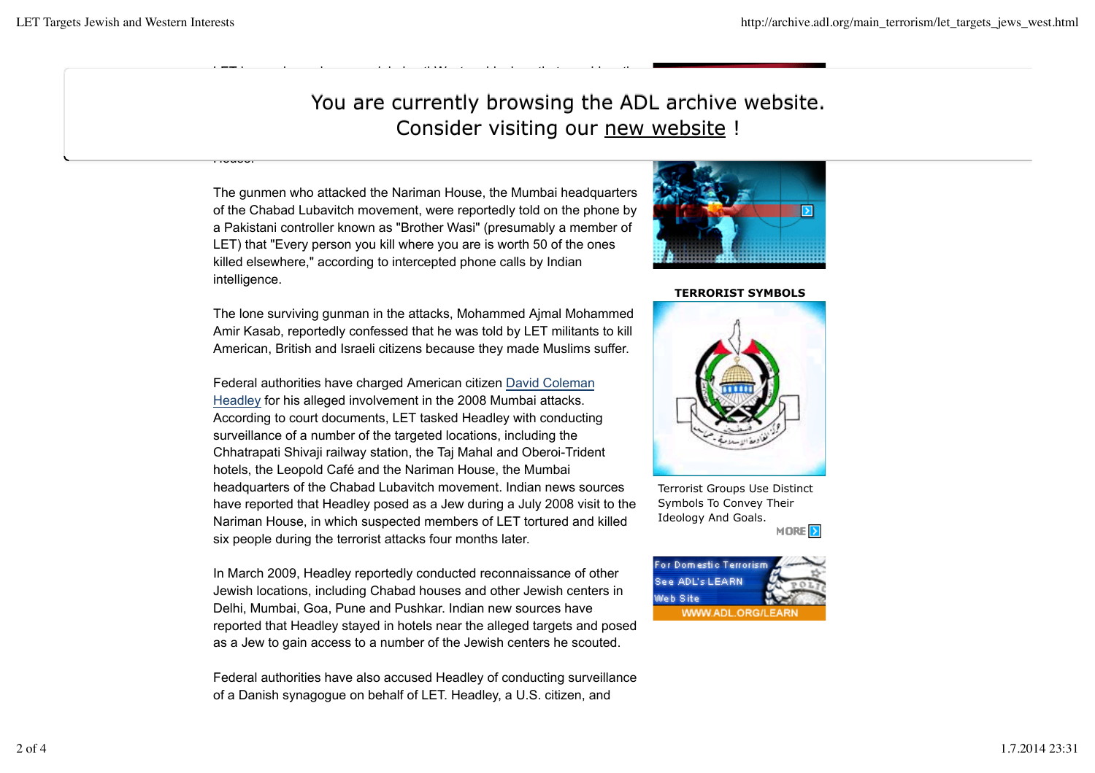House.

## You are currently browsing the ADL archive website. Consider visiting our new website !

The gunmen who attacked the Nariman House, the Mumbai headquarters of the Chabad Lubavitch movement, were reportedly told on the phone by a Pakistani controller known as "Brother Wasi" (presumably a member of LET) that "Every person you kill where you are is worth 50 of the ones killed elsewhere," according to intercepted phone calls by Indian intelligence.

LET has embraced a more global anti-Western ideology that considers the

The lone surviving gunman in the attacks, Mohammed Ajmal Mohammed Amir Kasab, reportedly confessed that he was told by LET militants to kill American, British and Israeli citizens because they made Muslims suffer.

Federal authorities have charged American citizen David Coleman Headley for his alleged involvement in the 2008 Mumbai attacks. According to court documents, LET tasked Headley with conducting surveillance of a number of the targeted locations, including the Chhatrapati Shivaji railway station, the Taj Mahal and Oberoi-Trident hotels, the Leopold Café and the Nariman House, the Mumbai headquarters of the Chabad Lubavitch movement. Indian news sources have reported that Headley posed as a Jew during a July 2008 visit to the Nariman House, in which suspected members of LET tortured and killed six people during the terrorist attacks four months later.

In March 2009, Headley reportedly conducted reconnaissance of other Jewish locations, including Chabad houses and other Jewish centers in Delhi, Mumbai, Goa, Pune and Pushkar. Indian new sources have reported that Headley stayed in hotels near the alleged targets and posed as a Jew to gain access to a number of the Jewish centers he scouted.

Federal authorities have also accused Headley of conducting surveillance of a Danish synagogue on behalf of LET. Headley, a U.S. citizen, and



## **TERRORIST SYMBOLS**



Terrorist Groups Use Distinct Symbols To Convey Their Ideology And Goals. MORE<sup>2</sup>